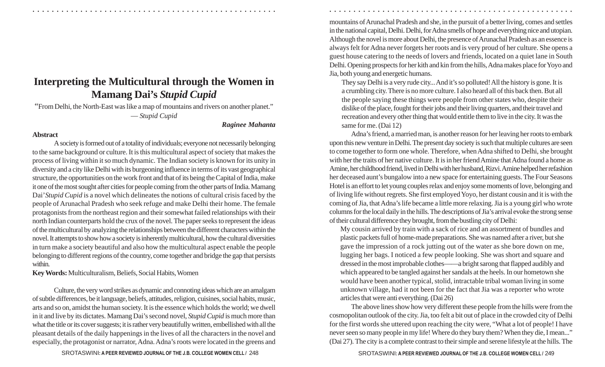## **Interpreting the Multicultural through the Women in Mamang Dai's**  *Stupid Cupid*

"From Delhi, the North-East was like a map of mountains and rivers on another planet." — *Stupid Cupid*

## *Raginee Mahanta*

## **Abstract**

A society is formed out of a totality of individuals; everyone not necessarily belonging to the same background or culture. It is this multicultural aspect of society that makes the process of living within it so much dynamic. The Indian society is known for its unity in diversity and a city like Delhi with its burgeoning influence in terms of its vast geographical structure, the opportunities on the work front and that of its being the Capital of India, make it one of the most sought after cities for people coming from the other parts of India. Mamang Dai'*Stupid Cupid* is a novel which delineates the notions of cultural crisis faced by the people of Arunachal Pradesh who seek refuge and make Delhi their home. The female protagonists from the northeast region and their somewhat failed relationships with their north Indian counterparts hold the crux of the novel. The paper seeks to represent the ideas of the multicultural by analyzing the relationships between the different characters within the novel. It attempts to show how a society is inherently multicultural, how the cultural diversities in turn make a society beautiful and also how the multicultural aspect enable the people belonging to different regions of the country, come together and bridge the gap that persists within.

**Key Words:** Multiculturalism, Beliefs, Social Habits, Women

Culture, the very word strikes as dynamic and connoting ideas which are an amalgam of subtle differences, be it language, beliefs, attitudes, religion, cuisines, social habits, music, arts and so on, amidst the human society. It is the essence which holds the world; we dwell in it and live by its dictates. Mamang Dai's second novel, *Stupid Cupid* is much more than what the title or its cover suggests; it is rather very beautifully written, embellished with all the pleasant details of the daily happenings in the lives of all the characters in the novel and especially, the protagonist or narrator, Adna. Adna's roots were located in the greens and

SROTASWINI: A PEER REVIEWED JOURNAL OF THE J.B. COLLEGE WOMEN CELL / 248 **249 SROTASWINI: A PEER REVIEWED JOURNAL OF** THE J.B. COLLEGE WOMEN CELL / 249

mountains of Arunachal Pradesh and she, in the pursuit of a better living, comes and settles in the national capital, Delhi. Delhi, for Adna smells of hope and everything nice and utopian. Although the novel is more about Delhi, the presence of Arunachal Pradesh as an essence is always felt for Adna never forgets her roots and is very proud of her culture. She opens a guest house catering to the needs of lovers and friends, located on a quiet lane in South Delhi. Opening prospects for her kith and kin from the hills, Adna makes place for Yoyo and Jia, both young and energetic humans.

○ ○ ○ ○ ○ ○ ○ ○ ○ ○ ○ ○ ○ ○ ○ ○ ○ ○ ○ ○ ○ ○ ○ ○ ○ ○ ○ ○ ○ ○ ○ ○ ○ ○ ○ ○ ○ ○ ○ ○ ○ ○ ○ ○ ○ ○ ○ ○ ○ ○ ○ ○ ○ ○ ○ ○ ○ ○ ○ ○ ○ ○ ○ ○ ○ ○ ○ ○ ○ ○ ○ ○ ○ ○ ○ ○ ○ ○ ○ ○ ○ ○ ○ ○ ○ ○ ○ ○ ○ ○ ○ ○ ○ ○ ○ ○ ○ ○ ○ ○ ○ ○

They say Delhi is a very rude city... And it's so polluted! All the history is gone. It is a crumbling city. There is no more culture. I also heard all of this back then. But all the people saying these things were people from other states who, despite their dislike of the place, fought for their jobs and their living quarters, and their travel and recreation and every other thing that would entitle them to live in the city. It was the same for me. (Dai 12)

Adna's friend, a married man, is another reason for her leaving her roots to embark upon this new venture in Delhi. The present day society is such that multiple cultures are seen to come together to form one whole. Therefore, when Adna shifted to Delhi, she brought with her the traits of her native culture. It is in her friend Amine that Adna found a home as Amine, her childhood friend, lived in Delhi with her husband, Rizvi. Amine helped her refashion her deceased aunt's bungalow into a new space for entertaining guests. The Four Seasons Hotel is an effort to let young couples relax and enjoy some moments of love, belonging and of living life without regrets. She first employed Yoyo, her distant cousin and it is with the coming of Jia, that Adna's life became a little more relaxing. Jia is a young girl who wrote columns for the local daily in the hills. The descriptions of Jia's arrival evoke the strong sense of their cultural difference they brought, from the bustling city of Delhi:

My cousin arrived by train with a sack of rice and an assortment of bundles and plastic packets full of home-made preparations. She was named after a river, but she gave the impression of a rock jutting out of the water as she bore down on me, lugging her bags. I noticed a few people looking. She was short and square and dressed in the most improbable clothes——a bright sarong that flapped audibly and which appeared to be tangled against her sandals at the heels. In our hometown she would have been another typical, stolid, intractable tribal woman living in some unknown village, had it not been for the fact that Jia was a reporter who wrote articles that were anti everything. (Dai 26)

The above lines show how very different these people from the hills were from the cosmopolitan outlook of the city. Jia, too felt a bit out of place in the crowded city of Delhi for the first words she uttered upon reaching the city were, "What a lot of people! I have never seen so many people in my life! Where do they bury them? When they die, I mean..." (Dai 27). The city is a complete contrast to their simple and serene lifestyle at the hills. The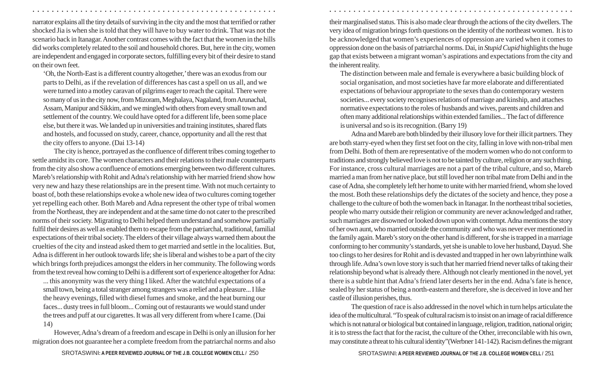narrator explains all the tiny details of surviving in the city and the most that terrified or rather shocked Jia is when she is told that they will have to buy water to drink. That was not the scenario back in Itanagar. Another contrast comes with the fact that the women in the hills did works completely related to the soil and household chores. But, here in the city, women are independent and engaged in corporate sectors, fulfilling every bit of their desire to stand on their own feet.

'Oh, the North-East is a different country altogether,' there was an exodus from our parts to Delhi, as if the revelation of differences has cast a spell on us all, and we were turned into a motley caravan of pilgrims eager to reach the capital. There were so many of us in the city now, from Mizoram, Meghalaya, Nagaland, from Arunachal, Assam, Manipur and Sikkim, and we mingled with others from every small town and settlement of the country. We could have opted for a different life, been some place else, but there it was. We landed up in universities and training institutes, shared flats and hostels, and focussed on study, career, chance, opportunity and all the rest that the city offers to anyone. (Dai 13-14)

The city is hence, portrayed as the confluence of different tribes coming together to settle amidst its core. The women characters and their relations to their male counterparts from the city also show a confluence of emotions emerging between two different cultures. Mareb's relationship with Rohit and Adna's relationship with her married friend show how very new and hazy these relationships are in the present time. With not much certainty to boast of, both these relationships evoke a whole new idea of two cultures coming together yet repelling each other. Both Mareb and Adna represent the other type of tribal women from the Northeast, they are independent and at the same time do not cater to the prescribed norms of their society. Migrating to Delhi helped them understand and somehow partially fulfil their desires as well as enabled them to escape from the patriarchal, traditional, familial expectations of their tribal society. The elders of their village always warned them about the cruelties of the city and instead asked them to get married and settle in the localities. But, Adna is different in her outlook towards life; she is liberal and wishes to be a part of the city which brings forth prejudices amongst the elders in her community. The following words from the text reveal how coming to Delhi is a different sort of experience altogether for Adna:

... this anonymity was the very thing I liked. After the watchful expectations of a small town, being a total stranger among strangers was a relief and a pleasure... I like the heavy evenings, filled with diesel fumes and smoke, and the heat burning our faces... dusty trees in full bloom... Coming out of restaurants we would stand under the trees and puff at our cigarettes. It was all very different from where I came. (Dai 14)

However, Adna's dream of a freedom and escape in Delhi is only an illusion for her migration does not guarantee her a complete freedom from the patriarchal norms and also

SROTASWINI**: A PEER REVIEWED JOURNAL OF THE J.B. COLLEGE WOMEN CELL /** SROTASWINI**: A PEER REVIEWED JOURNAL OF THE J.B. COLLEGE WOMEN CELL /** 250 251

their marginalised status. This is also made clear through the actions of the city dwellers. The very idea of migration brings forth questions on the identity of the northeast women. It is to be acknowledged that women's experiences of oppression are varied when it comes to oppression done on the basis of patriarchal norms. Dai, in *Stupid Cupid* highlights the huge gap that exists between a migrant woman's aspirations and expectations from the city and the inherent reality.

○ ○ ○ ○ ○ ○ ○ ○ ○ ○ ○ ○ ○ ○ ○ ○ ○ ○ ○ ○ ○ ○ ○ ○ ○ ○ ○ ○ ○ ○ ○ ○ ○ ○ ○ ○ ○ ○ ○ ○ ○ ○ ○ ○ ○ ○ ○ ○ ○ ○ ○ ○ ○ ○ ○ ○ ○ ○ ○ ○ ○ ○ ○ ○ ○ ○ ○ ○ ○ ○ ○ ○ ○ ○ ○ ○ ○ ○ ○ ○ ○ ○ ○ ○ ○ ○ ○ ○ ○ ○ ○ ○ ○ ○ ○ ○ ○ ○ ○ ○ ○ ○

The distinction between male and female is everywhere a basic building block of social organisation, and most societies have far more elaborate and differentiated expectations of behaviour appropriate to the sexes than do contemporary western societies... every society recognises relations of marriage and kinship, and attaches normative expectations to the roles of husbands and wives, parents and children and often many additional relationships within extended families... The fact of difference is universal and so is its recognition. (Barry 19)

Adna and Mareb are both blinded by their illusory love for their illicit partners. They are both starry-eyed when they first set foot on the city, falling in love with non-tribal men from Delhi. Both of them are representative of the modern women who do not conform to traditions and strongly believed love is not to be tainted by culture, religion or any such thing. For instance, cross cultural marriages are not a part of the tribal culture, and so, Mareb married a man from her native place, but still loved her non tribal mate from Delhi and in the case of Adna, she completely left her home to unite with her married friend, whom she loved the most. Both these relationships defy the dictates of the society and hence, they pose a challenge to the culture of both the women back in Itanagar. In the northeast tribal societies, people who marry outside their religion or community are never acknowledged and rather, such marriages are disowned or looked down upon with contempt. Adna mentions the story of her own aunt, who married outside the community and who was never ever mentioned in the family again. Mareb's story on the other hand is different, for she is trapped in a marriage conforming to her community's standards, yet she is unable to love her husband, Dayud. She too clings to her desires for Rohit and is devasted and trapped in her own labyrinthine walk through life. Adna's own love story is such that her married friend never talks of taking their relationship beyond what is already there. Although not clearly mentioned in the novel, yet there is a subtle hint that Adna's friend later deserts her in the end. Adna's fate is hence, sealed by her status of being a north-eastern and therefore, she is deceived in love and her castle of illusion perishes, thus.

The question of race is also addressed in the novel which in turn helps articulate the idea of the multicultural. "To speak of cultural racism is to insist on an image of racial difference which is not natural or biological but contained in language, religion, tradition, national origin; it is to stress the fact that for the racist, the culture of the Other, irreconcilable with his own, may constitute a threat to his cultural identity"(Werbner 141-142). Racism defines the migrant